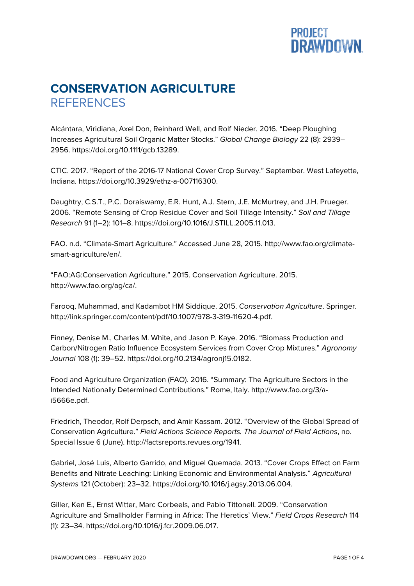## **PROJECT<br>DRAWDOWN**

## **CONSERVATION AGRICULTURE REFERENCES**

Alcántara, Viridiana, Axel Don, Reinhard Well, and Rolf Nieder. 2016. "Deep Ploughing Increases Agricultural Soil Organic Matter Stocks." *Global Change Biology* 22 (8): 2939– 2956. https://doi.org/10.1111/gcb.13289.

CTIC. 2017. "Report of the 2016-17 National Cover Crop Survey." September. West Lafeyette, Indiana. https://doi.org/10.3929/ethz-a-007116300.

Daughtry, C.S.T., P.C. Doraiswamy, E.R. Hunt, A.J. Stern, J.E. McMurtrey, and J.H. Prueger. 2006. "Remote Sensing of Crop Residue Cover and Soil Tillage Intensity." *Soil and Tillage Research* 91 (1–2): 101–8. https://doi.org/10.1016/J.STILL.2005.11.013.

FAO. n.d. "Climate-Smart Agriculture." Accessed June 28, 2015. http://www.fao.org/climatesmart-agriculture/en/.

"FAO:AG:Conservation Agriculture." 2015. Conservation Agriculture. 2015. http://www.fao.org/ag/ca/.

Farooq, Muhammad, and Kadambot HM Siddique. 2015. *Conservation Agriculture*. Springer. http://link.springer.com/content/pdf/10.1007/978-3-319-11620-4.pdf.

Finney, Denise M., Charles M. White, and Jason P. Kaye. 2016. "Biomass Production and Carbon/Nitrogen Ratio Influence Ecosystem Services from Cover Crop Mixtures." *Agronomy Journal* 108 (1): 39–52. https://doi.org/10.2134/agronj15.0182.

Food and Agriculture Organization (FAO). 2016. "Summary: The Agriculture Sectors in the Intended Nationally Determined Contributions." Rome, Italy. http://www.fao.org/3/ai5666e.pdf.

Friedrich, Theodor, Rolf Derpsch, and Amir Kassam. 2012. "Overview of the Global Spread of Conservation Agriculture." *Field Actions Science Reports. The Journal of Field Actions*, no. Special Issue 6 (June). http://factsreports.revues.org/1941.

Gabriel, José Luis, Alberto Garrido, and Miguel Quemada. 2013. "Cover Crops Effect on Farm Benefits and Nitrate Leaching: Linking Economic and Environmental Analysis." *Agricultural Systems* 121 (October): 23–32. https://doi.org/10.1016/j.agsy.2013.06.004.

Giller, Ken E., Ernst Witter, Marc Corbeels, and Pablo Tittonell. 2009. "Conservation Agriculture and Smallholder Farming in Africa: The Heretics' View." *Field Crops Research* 114 (1): 23–34. https://doi.org/10.1016/j.fcr.2009.06.017.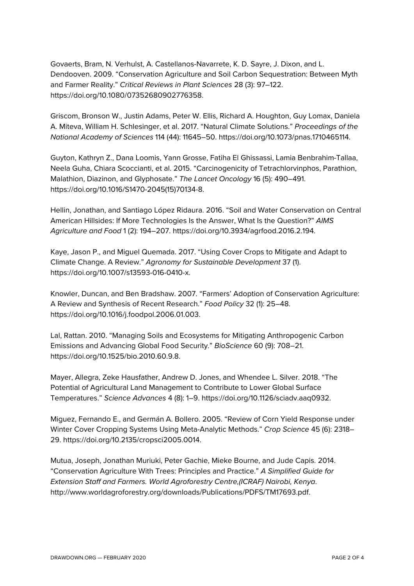Govaerts, Bram, N. Verhulst, A. Castellanos-Navarrete, K. D. Sayre, J. Dixon, and L. Dendooven. 2009. "Conservation Agriculture and Soil Carbon Sequestration: Between Myth and Farmer Reality." *Critical Reviews in Plant Sciences* 28 (3): 97–122. https://doi.org/10.1080/07352680902776358.

Griscom, Bronson W., Justin Adams, Peter W. Ellis, Richard A. Houghton, Guy Lomax, Daniela A. Miteva, William H. Schlesinger, et al. 2017. "Natural Climate Solutions." *Proceedings of the National Academy of Sciences* 114 (44): 11645–50. https://doi.org/10.1073/pnas.1710465114.

Guyton, Kathryn Z., Dana Loomis, Yann Grosse, Fatiha El Ghissassi, Lamia Benbrahim-Tallaa, Neela Guha, Chiara Scoccianti, et al. 2015. "Carcinogenicity of Tetrachlorvinphos, Parathion, Malathion, Diazinon, and Glyphosate." *The Lancet Oncology* 16 (5): 490–491. https://doi.org/10.1016/S1470-2045(15)70134-8.

Hellin, Jonathan, and Santiago López Ridaura. 2016. "Soil and Water Conservation on Central American Hillsides: If More Technologies Is the Answer, What Is the Question?" *AIMS Agriculture and Food* 1 (2): 194–207. https://doi.org/10.3934/agrfood.2016.2.194.

Kaye, Jason P., and Miguel Quemada. 2017. "Using Cover Crops to Mitigate and Adapt to Climate Change. A Review." *Agronomy for Sustainable Development* 37 (1). https://doi.org/10.1007/s13593-016-0410-x.

Knowler, Duncan, and Ben Bradshaw. 2007. "Farmers' Adoption of Conservation Agriculture: A Review and Synthesis of Recent Research." *Food Policy* 32 (1): 25–48. https://doi.org/10.1016/j.foodpol.2006.01.003.

Lal, Rattan. 2010. "Managing Soils and Ecosystems for Mitigating Anthropogenic Carbon Emissions and Advancing Global Food Security." *BioScience* 60 (9): 708–21. https://doi.org/10.1525/bio.2010.60.9.8.

Mayer, Allegra, Zeke Hausfather, Andrew D. Jones, and Whendee L. Silver. 2018. "The Potential of Agricultural Land Management to Contribute to Lower Global Surface Temperatures." *Science Advances* 4 (8): 1–9. https://doi.org/10.1126/sciadv.aaq0932.

Miguez, Fernando E., and Germán A. Bollero. 2005. "Review of Corn Yield Response under Winter Cover Cropping Systems Using Meta-Analytic Methods." *Crop Science* 45 (6): 2318– 29. https://doi.org/10.2135/cropsci2005.0014.

Mutua, Joseph, Jonathan Muriuki, Peter Gachie, Mieke Bourne, and Jude Capis. 2014. "Conservation Agriculture With Trees: Principles and Practice." *A Simplified Guide for Extension Staff and Farmers. World Agroforestry Centre,(ICRAF) Nairobi, Kenya*. http://www.worldagroforestry.org/downloads/Publications/PDFS/TM17693.pdf.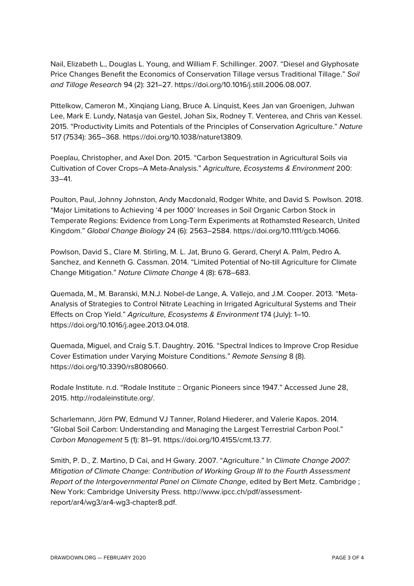Nail, Elizabeth L., Douglas L. Young, and William F. Schillinger. 2007. "Diesel and Glyphosate Price Changes Benefit the Economics of Conservation Tillage versus Traditional Tillage." *Soil and Tillage Research* 94 (2): 321–27. https://doi.org/10.1016/j.still.2006.08.007.

Pittelkow, Cameron M., Xinqiang Liang, Bruce A. Linquist, Kees Jan van Groenigen, Juhwan Lee, Mark E. Lundy, Natasja van Gestel, Johan Six, Rodney T. Venterea, and Chris van Kessel. 2015. "Productivity Limits and Potentials of the Principles of Conservation Agriculture." *Nature* 517 (7534): 365–368. https://doi.org/10.1038/nature13809.

Poeplau, Christopher, and Axel Don. 2015. "Carbon Sequestration in Agricultural Soils via Cultivation of Cover Crops–A Meta-Analysis." *Agriculture, Ecosystems & Environment* 200: 33–41.

Poulton, Paul, Johnny Johnston, Andy Macdonald, Rodger White, and David S. Powlson. 2018. "Major Limitations to Achieving '4 per 1000' Increases in Soil Organic Carbon Stock in Temperate Regions: Evidence from Long-Term Experiments at Rothamsted Research, United Kingdom." *Global Change Biology* 24 (6): 2563–2584. https://doi.org/10.1111/gcb.14066.

Powlson, David S., Clare M. Stirling, M. L. Jat, Bruno G. Gerard, Cheryl A. Palm, Pedro A. Sanchez, and Kenneth G. Cassman. 2014. "Limited Potential of No-till Agriculture for Climate Change Mitigation." *Nature Climate Change* 4 (8): 678–683.

Quemada, M., M. Baranski, M.N.J. Nobel-de Lange, A. Vallejo, and J.M. Cooper. 2013. "Meta-Analysis of Strategies to Control Nitrate Leaching in Irrigated Agricultural Systems and Their Effects on Crop Yield." *Agriculture, Ecosystems & Environment* 174 (July): 1–10. https://doi.org/10.1016/j.agee.2013.04.018.

Quemada, Miguel, and Craig S.T. Daughtry. 2016. "Spectral Indices to Improve Crop Residue Cover Estimation under Varying Moisture Conditions." *Remote Sensing* 8 (8). https://doi.org/10.3390/rs8080660.

Rodale Institute. n.d. "Rodale Institute :: Organic Pioneers since 1947." Accessed June 28, 2015. http://rodaleinstitute.org/.

Scharlemann, Jörn PW, Edmund VJ Tanner, Roland Hiederer, and Valerie Kapos. 2014. "Global Soil Carbon: Understanding and Managing the Largest Terrestrial Carbon Pool." *Carbon Management* 5 (1): 81–91. https://doi.org/10.4155/cmt.13.77.

Smith, P. D., Z. Martino, D Cai, and H Gwary. 2007. "Agriculture." In *Climate Change 2007: Mitigation of Climate Change: Contribution of Working Group III to the Fourth Assessment Report of the Intergovernmental Panel on Climate Change*, edited by Bert Metz. Cambridge ; New York: Cambridge University Press. http://www.ipcc.ch/pdf/assessmentreport/ar4/wg3/ar4-wg3-chapter8.pdf.